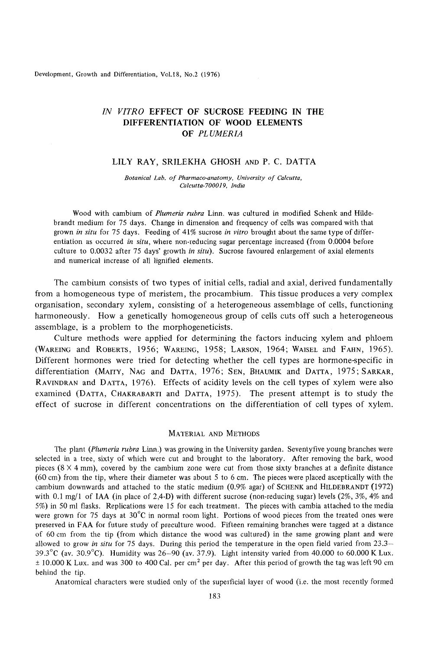# *IN VITRO* EFFECT OF SUCROSE FEEDING IN THE<br>*IN VITRO* EFFECT OF SUCROSE FEEDING IN THE<br>DIFFERENTIATION OF WOOD ELEMENTS **DIFFERENTIATION OF WOOD ELEMENTS OF** *PLUMERZA*

## **LILY RAY, SRILEKHA GHOSH AND P. C. DATTA**

**Botanical Lab. of Pharmaco-anatomy, University of Calcutta,<br>** *Botanical Lab. of Pharmaco-anatomy, University of Calcutta, Calcutta-700019, India Calcutta-70001 9, India* 

Wood with cambium of *Plumeria rubra* Linn. was cultured in modified Schenk and Hildebrandt medium for **75** days. Change in dimension and frequency of cells was compared with that grown *in situ* for **75** days. Feeding of **41%** sucrose *in vitro* brought about the same type of differentiation as occurred *in situ,* where non-reducing sugar percentage increased (from 0.0004 before culture to **0.0032** after **75** days' growth *in sifu).* Sucrose favoured enlargement of axial elements and numerical increase of all lignified elements.

The cambium consists of two types of initial cells, radial and axial, derived fundamentally from a homogeneous type of meristem, the procambium. This tissue produces a very complex organisation, secondary xylem, consisting of a heterogeneous assemblage of cells, functioning harmoneously. How a genetically homogeneous group of cells cuts off such a heterogeneous assemblage, is a problem to the morphogeneticists.

Culture methods were applied for determining the factors inducing xylem and phloem **(WAREING** and **ROBERTS,** 1956; **WAREING,** 1958; **LARSON,** 1964; **WAISEL** and **FAHN,** 1965). Different hormones were tried for detecting whether the cell types are hormone-specific in differentiation **(MAITY, NAG** and **DATTA,** 1976; **SEN, BHAUMIK** and **DATTA,** 1975; **SARKAR, RAVINDRAN** and **DATTA,** 1976). Effects of acidity levels on the cell types of xylem were also examined **(DATTA, CHAKRABARTI** and **DATTA,** 1975). The present attempt is to study the effect of sucrose in different concentrations on the differentiation of cell types of xylem.

#### **MATERIAL AND METHODS**

The plant *(Plumeria rubru* Linn.) was growing in the University garden. Seventyfive young branches were selected in a tree, sixty of which were cut and brought to the laboratory. After removing the bark, wood pieces (8 x 4 mm), covered by the cambium zone were cut from those sixty branches were selected in a tree, sixty of which were cut and brought to the laboratory. After removing the bark, wood pieces (8 x 4 mm), covered by (60 cm) from the tip, where their diameter was about 5 to 6 cm. The pieces were placed asceptically with the cambium downwards and attached to the static medium (0.9% agar) of **SCHENK** and **HILDEBRANDT** (1972) with 0.1 mg/l of IAA (in place of **2,4-D)** with different sucrose (non-reducing sugar) levels **(2%,** 3%, 4% and **5%)** in 50 ml flasks. Replications were **15** for each treatment. The pieces with cambia attached to the media were grown for 75 days at **30°C** in normal room light. Portions of wood pieces from the treated ones were preserved in FAA for future study of preculture wood. Fifteen remaining branches were tagged at a distance of 60 cm from the tip (from which distance the wood was cultured) in the same growing plant and were cambium downwards and attached to the static medium (0.9% agar) or SCHENK and HILDEBKANDI (1972) with 0.1 mg/1 of IAA (in place of 2,4-D) with different sucrose (non-reducing sugar) levels (2%, 3%, 4% and 5%) in 50 ml fla **39.3"C** (av. **30.9"C).** Humidity was **26-90** (av. **37.9).** Light intensity varied from 40.000 to 60.000 K Lux. k 10,000 K Lux. and was **300** to **400 Cal.** per cm2 per day. After this period of growth the tag was left 90 cm behind the tip.

Anatomical characters were studied only of the superficial layer of wood (i.e. the most recently formed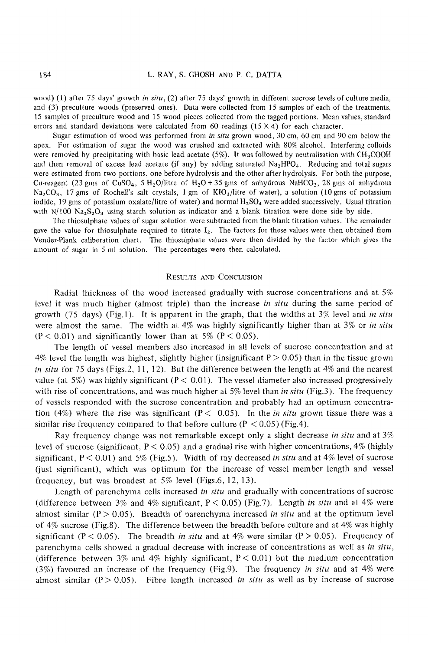184 L. RAY, S. GHOSH AND P. C. DATTA<br>wood) (1) after 75 days' growth *in situ*, (2) after 75 days' growth in different sucrose levels of culture media,<br>and (3) preculture woods (preserved ones). Data were collected from 15 and (3) preculture woods (preserved ones). Data were collected from 15 samples of each of the treatments, 15 samples of preculture wood and 15 wood pieces collected from the tagged portions. Mean values, standard **ERRY, S. GHOSH AND P. C. DATTA**<br>wood) (1) after 75 days' growth *in situ*, (2) after 75 days' growth in different sucrose levels of culture media,<br>and (3) preculture woods (preserved ones). Data were collected from 15 sa

Sugar estimation of wood was performed from **in** situ grown wood, **30** cm, 60 cm and 90 cm below the apex. For estimation of sugar the wood was crushed and extracted with 80% alcohol. Interfering colloids were removed by precipitating with basic lead acetate (5%). It was followed by neutralisation with  $CH<sub>3</sub>COOH$ and then removal of excess lead acetate (if any) by adding saturated  $Na<sub>2</sub>HPO<sub>4</sub>$ . Reducing and total sugars were estimated from two portions, one before hydrolysis and the other after hydrolysis. For both the purpose, Cu-reagent (23 gms of CuSO<sub>4</sub>, 5 H<sub>2</sub>O/litre of H<sub>2</sub>O + 35 gms of anhydrous NaHCO<sub>3</sub>, 28 gms of anhydrous Na<sub>2</sub>CO<sub>3</sub>, 17 gms of Rochell's salt crystals, 1 gm of KIO<sub>3</sub>/litre of water), a solution (10 gms of potassium iodide, 19 gms of potassium oxalate/litre of water) and normal **HzS04** were added successively. Usual titration with  $N/100$  Na<sub>2</sub>S<sub>2</sub>O<sub>3</sub> using starch solution as indicator and a blank titration were done side by side.

'The thiosulphate values of sugar solution were subtracted from the blank titration values. The remainder gave the value for thiosulphate required to titrate **12.** The factors for these values were then obtained from Vender-Plank caliberation chart. The thiosulphate values were then divided by the factor which gives the amount of sugar in 5 ml solution. The percentages were then calculated.

### RESULTS AND CONCLUSION

Radial thickness of the wood increased gradually with sucrose concentrations and at 5% Results and the increase were then calculated.<br>
The increases were then calculated.<br>
Results AND CONCLUSION<br>
Radial thickness of the wood increased gradually with sucrose concentrations and at 5%<br>
level it was much higher growth (75 days) (Fig.]). It is apparent in the graph, that the widths at 3% level and *in situ*  were almost the same. The width at 4% was highly significantly higher than at 3% or *in situ*   $(P < 0.01)$  and significantly lower than at 5%  $(P < 0.05)$ .

The length of vessel members also increased in all levels of sucrose concentration and at  $4\%$  level the length was highest, slightly higher (insignificant P  $> 0.05$ ) than in the tissue grown *in situ* for 75 days (Figs.2, 11, 12). But the difference between the length at 4% and the nearest value (at 5%) was highly significant ( $P < 0.01$ ). The vessel diameter also increased progressively with rise of concentrations, and was much higher at 5% level than *in situ* (Fig.3). The frequency of vessels responded with the sucrose concentration and probably had an optimum concentration (4%) where the rise was significant ( $P < 0.05$ ). In the *in situ* grown tissue there was a similar rise frequency compared to that before culture ( $P < 0.05$ ) (Fig.4). with rise of concentrations, and was much higher at 5% level than *in situ* (Fig.3). The frequency<br>of vessels responded with the sucrose concentration and probably had an optimum concentra-<br>tion (4%) where the rise was si

Ray frequency change was not remarkable except only a slight decrease *in situ* and at *3%*  level of sucrose (significant,  $P < 0.05$ ) and a gradual rise with higher concentrations, 4% (highly significant,  $P < 0.01$ ) and 5% (Fig.5). Width of ray decreased *in situ* and at 4% level of sucrose Gust significant), which was optimum for the increase of vessel member length and vessel frequency, but was broadest at 5% level (Figs.6, 12, 13).

Length of parenchyma cells increased *in situ* and gradually with concentrations of sucrose (difference between  $3\%$  and  $4\%$  significant,  $P < 0.05$ ) (Fig.7). Length *in situ* and at  $4\%$  were almost similar  $(P > 0.05)$ . Breadth of parenchyma increased *in situ* and at the optimum level of 4% sucrose (Fig.8). The difference between the breadth before culture and at 4% was highly significant ( $P < 0.05$ ). The breadth *in situ* and at  $4\%$  were similar ( $P > 0.05$ ). Frequency of parenchyma cells showed a gradual decrease with increase of concentrations as well as *in situ,*  (difference between  $3\%$  and  $4\%$  highly significant,  $P < 0.01$ ) but the medium concentration (3%) favoured an increase of the frequency (Fig.9). The frequency *in situ* and at 4% were almost similar  $(P > 0.05)$ . Fibre length increased *in situ* as well as by increase of sucrose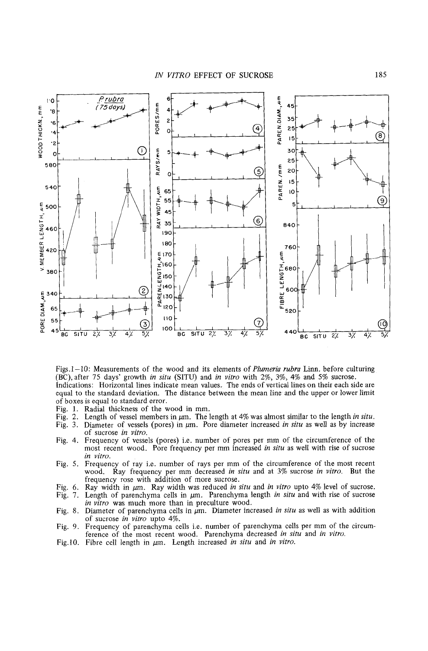

Figs.1-10: Measurements of the wood and its elements of *Plumeria rubra* Linn. before culturing (BC),after 75 days' growth *in situ* (SITU) and *in vitro* with 2%, 3%, 4% and 5% sucrose. Indications: Horizontal lines indicate mean values. The ends of vertical lines on their each side are equal to the standard deviation. The distance between the mean line and the upper or lower limit of boxes is equal to standard error. Figs.1-10: Measurements of the wood and its elements of *Plumeria rubra* Linn. before culturing (BC), after 75 days' growth *in situ* (SITU) and *in vitro* with 2%, 3%, 4% and 5% sucrose.<br>Indications: Horizontal lines indi

- 
- Fig. 1. Radial thickness of the wood in mm.<br>Fig. 2. Length of vessel members in  $\mu$ m. The length at 4% was almost similar to the length *in situ*.
- Fig. *3.* Diameter of vessels (pores) in pm. Pore diameter increased *in situ* as well as by increase of sucrose *in virro.*
- Fig. 4. Frequency of vessels (pores) i.e. number of pores per mm of the circumference of the most recent wood. Pore frequency per mm increased *in situ* as well with rise of sucrose *in vitro.*
- Fig. *5.* Frequency of ray i.e. number of rays per mm of the circumference of the most recent wood. Ray frequency per mm decreased *in situ* and at *3%* sucrose *in vitro.* But the frequency rose with addition of more sucrose.
- Fig. 6. Ray width in  $\mu$ m. Ray width was reduced *in situ* and *in vitro* upto 4% level of sucrose.<br>Fig. 7. Length of parenchyma cells in  $\mu$ m. Parenchyma length *in situ* and with rise of sucrose
- Length of parenchyma cells in  $\mu$ m. Parenchyma length *in situ* and with rise of sucrose *in vitro* was much more than in preculture wood.
- Fig. 8. Diameter of parenchyma cells in  $\mu$ m. Diameter increased *in situ* as well as with addition of sucrose *in vitro* upto 4%.
- Fig. 9. Frequency of parenchyma cells i.e. number of parenchyma cells per mm of the circumference of the most recent wood. Parenchyma decreased *in situ* and *in* **vitro.**  Fig. 6. Ray width in  $\mu$ m. Ray width was reduced *in situ* and *in vitro* upto 4% level of sucrose.<br>Fig. 7. Length of parenchyma cells in  $\mu$ m. Parenchyma length *in situ* and with rise of sucrose<br>*in vitro* was much mo
-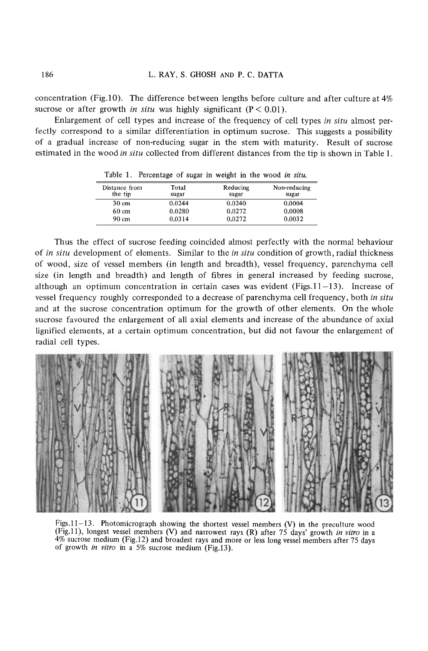concentration (Fig.10). The difference between lengths before culture and after culture at 4% Example 186 L. RAY, S. GHOSH AND P. C. DATTA<br>
concentration (Fig.10). The difference between lengths before culture and after culture at 4%<br>
sucrose or after growth *in situ* was highly significant (P < 0.01).<br>
Enlargemen

Enlargement of cell types and increase of the frequency of cell types **in** *situ* almost perfectly correspond to a similar differentiation in optimum sucrose. This suggests a possibility of a gradual increase of non-reducing sugar in the stem with maturity. Result of sucrose estimated in the wood in situ collected from different distances from the and after culture at 4%<br>rpes *in situ* almost per-<br>is suggests a possibility<br>ty. Result of sucrose<br>tip is shown in Table 1.

| Distance from<br>the tip | Total<br>sugar | Reducing<br>sugar | Non-reducing<br>sugar |
|--------------------------|----------------|-------------------|-----------------------|
| $30 \text{ cm}$          | 0.0244         | 0.0240            | 0.0004                |
| $60 \text{ cm}$          | 0.0280         | 0.0272            | 0.0008                |
| $90 \text{ cm}$          | 0.0314         | 0.0272            | 0.0032                |

Table 1. Percentage of sugar in weight in the wood *in situ.* 

Thus the effect of sucrose feeding coincided almost perfectly with the normal behaviour of **interest in the** *in*  $\frac{1}{2}$   $\frac{1}{2}$   $\frac{1}{2}$   $\frac{1}{2}$   $\frac{1}{2}$   $\frac{1}{2}$   $\frac{1}{2}$   $\frac{1}{2}$   $\frac{1}{2}$   $\frac{1}{2}$   $\frac{1}{2}$   $\frac{1}{2}$   $\frac{1}{2}$   $\frac{1}{2}$   $\frac{1}{2}$   $\frac{1}{2}$   $\frac{1}{2}$   $\frac{1}{2}$   $\frac{1}{2}$   $\frac{1}{$ of wood, size of vessel members (in length and breadth), vessel frequency, parenchyma cell size (in length and breadth) and length of fibres in general increased by feeding sucrose, although an optimum concentration in certain cases was evident (Figs.11 $-13$ ). Increase of vessel frequency roughly corresponded to a decrease of parenchyma cell frequency, both *in situ*  and at the sucrose concentration optimum for the growth of other elements. On the whole sucrose favoured the enlargement of all axial elements and increase of the abundance of axial lignified elements, at a certain optimum concentration, but did not favour the enlargement of radial cell types.



Figs.11-13. Photomicrograph showing the shortest vessel members  $(V)$  in the preculture wood (Fig.lI), longest vessel members (V) and narrowest rays (R) after *75* days' growth *in vitro* in a 4% sucrose medium (Fig.12) and broadest rays and more or less long vessel members after *75* days of growth **in** *vitro* in a *5%* sucrose medium (Fig.13).